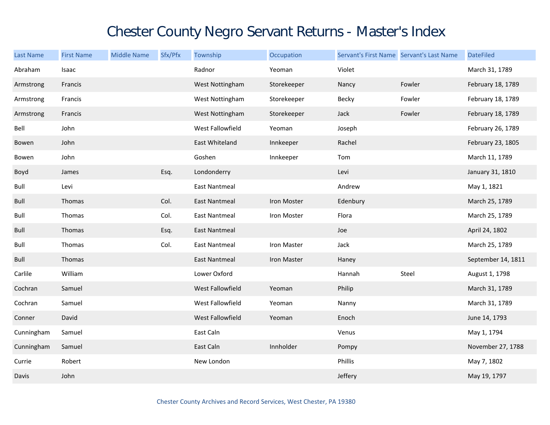## Chester County Negro Servant Returns - Master's Index

| <b>Last Name</b> | <b>First Name</b> | <b>Middle Name</b> | Sfx/Pfx | Township             | Occupation  | Servant's First Name Servant's Last Name |        | <b>DateFiled</b>   |
|------------------|-------------------|--------------------|---------|----------------------|-------------|------------------------------------------|--------|--------------------|
| Abraham          | Isaac             |                    |         | Radnor               | Yeoman      | Violet                                   |        | March 31, 1789     |
| Armstrong        | Francis           |                    |         | West Nottingham      | Storekeeper | Nancy                                    | Fowler | February 18, 1789  |
| Armstrong        | Francis           |                    |         | West Nottingham      | Storekeeper | Becky                                    | Fowler | February 18, 1789  |
| Armstrong        | Francis           |                    |         | West Nottingham      | Storekeeper | Jack                                     | Fowler | February 18, 1789  |
| Bell             | John              |                    |         | West Fallowfield     | Yeoman      | Joseph                                   |        | February 26, 1789  |
| Bowen            | John              |                    |         | East Whiteland       | Innkeeper   | Rachel                                   |        | February 23, 1805  |
| Bowen            | John              |                    |         | Goshen               | Innkeeper   | Tom                                      |        | March 11, 1789     |
| Boyd             | James             |                    | Esq.    | Londonderry          |             | Levi                                     |        | January 31, 1810   |
| Bull             | Levi              |                    |         | <b>East Nantmeal</b> |             | Andrew                                   |        | May 1, 1821        |
| Bull             | Thomas            |                    | Col.    | <b>East Nantmeal</b> | Iron Moster | Edenbury                                 |        | March 25, 1789     |
| Bull             | Thomas            |                    | Col.    | East Nantmeal        | Iron Moster | Flora                                    |        | March 25, 1789     |
| Bull             | Thomas            |                    | Esq.    | <b>East Nantmeal</b> |             | Joe                                      |        | April 24, 1802     |
| Bull             | Thomas            |                    | Col.    | East Nantmeal        | Iron Master | Jack                                     |        | March 25, 1789     |
| Bull             | Thomas            |                    |         | <b>East Nantmeal</b> | Iron Master | Haney                                    |        | September 14, 1811 |
| Carlile          | William           |                    |         | Lower Oxford         |             | Hannah                                   | Steel  | August 1, 1798     |
| Cochran          | Samuel            |                    |         | West Fallowfield     | Yeoman      | Philip                                   |        | March 31, 1789     |
| Cochran          | Samuel            |                    |         | West Fallowfield     | Yeoman      | Nanny                                    |        | March 31, 1789     |
| Conner           | David             |                    |         | West Fallowfield     | Yeoman      | Enoch                                    |        | June 14, 1793      |
| Cunningham       | Samuel            |                    |         | East Caln            |             | Venus                                    |        | May 1, 1794        |
| Cunningham       | Samuel            |                    |         | East Caln            | Innholder   | Pompy                                    |        | November 27, 1788  |
| Currie           | Robert            |                    |         | New London           |             | Phillis                                  |        | May 7, 1802        |
| Davis            | John              |                    |         |                      |             | Jeffery                                  |        | May 19, 1797       |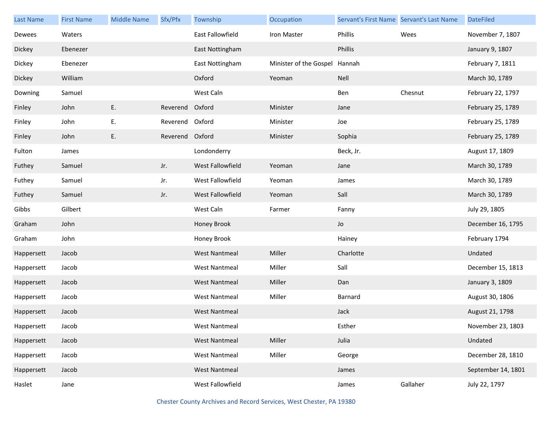| <b>Last Name</b> | <b>First Name</b> | <b>Middle Name</b> | Sfx/Pfx         | Township             | Occupation             | Servant's First Name Servant's Last Name |          | <b>DateFiled</b>   |
|------------------|-------------------|--------------------|-----------------|----------------------|------------------------|------------------------------------------|----------|--------------------|
| Dewees           | Waters            |                    |                 | East Fallowfield     | Iron Master            | Phillis                                  | Wees     | November 7, 1807   |
| Dickey           | Ebenezer          |                    |                 | East Nottingham      |                        | Phillis                                  |          | January 9, 1807    |
| Dickey           | Ebenezer          |                    |                 | East Nottingham      | Minister of the Gospel | Hannah                                   |          | February 7, 1811   |
| Dickey           | William           |                    |                 | Oxford               | Yeoman                 | Nell                                     |          | March 30, 1789     |
| Downing          | Samuel            |                    |                 | West Caln            |                        | Ben                                      | Chesnut  | February 22, 1797  |
| Finley           | John              | E.                 | Reverend        | Oxford               | Minister               | Jane                                     |          | February 25, 1789  |
| Finley           | John              | Ε.                 | Reverend Oxford |                      | Minister               | Joe                                      |          | February 25, 1789  |
| Finley           | John              | E.                 | Reverend Oxford |                      | Minister               | Sophia                                   |          | February 25, 1789  |
| Fulton           | James             |                    |                 | Londonderry          |                        | Beck, Jr.                                |          | August 17, 1809    |
| Futhey           | Samuel            |                    | Jr.             | West Fallowfield     | Yeoman                 | Jane                                     |          | March 30, 1789     |
| Futhey           | Samuel            |                    | Jr.             | West Fallowfield     | Yeoman                 | James                                    |          | March 30, 1789     |
| Futhey           | Samuel            |                    | Jr.             | West Fallowfield     | Yeoman                 | Sall                                     |          | March 30, 1789     |
| Gibbs            | Gilbert           |                    |                 | West Caln            | Farmer                 | Fanny                                    |          | July 29, 1805      |
| Graham           | John              |                    |                 | Honey Brook          |                        | Jo                                       |          | December 16, 1795  |
| Graham           | John              |                    |                 | Honey Brook          |                        | Hainey                                   |          | February 1794      |
| Happersett       | Jacob             |                    |                 | <b>West Nantmeal</b> | Miller                 | Charlotte                                |          | Undated            |
| Happersett       | Jacob             |                    |                 | <b>West Nantmeal</b> | Miller                 | Sall                                     |          | December 15, 1813  |
| Happersett       | Jacob             |                    |                 | <b>West Nantmeal</b> | Miller                 | Dan                                      |          | January 3, 1809    |
| Happersett       | Jacob             |                    |                 | <b>West Nantmeal</b> | Miller                 | Barnard                                  |          | August 30, 1806    |
| Happersett       | Jacob             |                    |                 | <b>West Nantmeal</b> |                        | Jack                                     |          | August 21, 1798    |
| Happersett       | Jacob             |                    |                 | <b>West Nantmeal</b> |                        | Esther                                   |          | November 23, 1803  |
| Happersett       | Jacob             |                    |                 | <b>West Nantmeal</b> | Miller                 | Julia                                    |          | Undated            |
| Happersett       | Jacob             |                    |                 | <b>West Nantmeal</b> | Miller                 | George                                   |          | December 28, 1810  |
| Happersett       | Jacob             |                    |                 | <b>West Nantmeal</b> |                        | James                                    |          | September 14, 1801 |
| Haslet           | Jane              |                    |                 | West Fallowfield     |                        | James                                    | Gallaher | July 22, 1797      |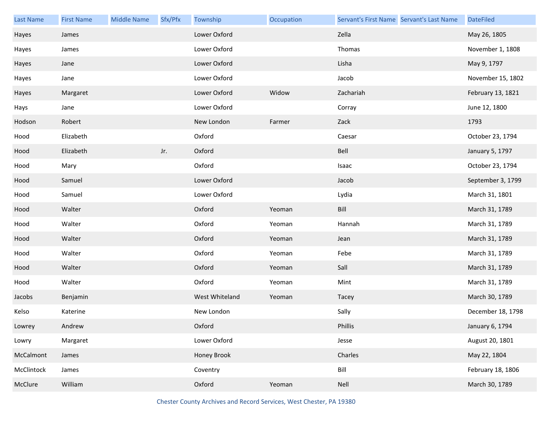| <b>Last Name</b> | <b>First Name</b> | <b>Middle Name</b> | Sfx/Pfx | Township       | Occupation | Servant's First Name Servant's Last Name | <b>DateFiled</b>  |
|------------------|-------------------|--------------------|---------|----------------|------------|------------------------------------------|-------------------|
| Hayes            | James             |                    |         | Lower Oxford   |            | Zella                                    | May 26, 1805      |
| Hayes            | James             |                    |         | Lower Oxford   |            | Thomas                                   | November 1, 1808  |
| Hayes            | Jane              |                    |         | Lower Oxford   |            | Lisha                                    | May 9, 1797       |
| Hayes            | Jane              |                    |         | Lower Oxford   |            | Jacob                                    | November 15, 1802 |
| Hayes            | Margaret          |                    |         | Lower Oxford   | Widow      | Zachariah                                | February 13, 1821 |
| Hays             | Jane              |                    |         | Lower Oxford   |            | Corray                                   | June 12, 1800     |
| Hodson           | Robert            |                    |         | New London     | Farmer     | Zack                                     | 1793              |
| Hood             | Elizabeth         |                    |         | Oxford         |            | Caesar                                   | October 23, 1794  |
| Hood             | Elizabeth         |                    | Jr.     | Oxford         |            | Bell                                     | January 5, 1797   |
| Hood             | Mary              |                    |         | Oxford         |            | Isaac                                    | October 23, 1794  |
| Hood             | Samuel            |                    |         | Lower Oxford   |            | Jacob                                    | September 3, 1799 |
| Hood             | Samuel            |                    |         | Lower Oxford   |            | Lydia                                    | March 31, 1801    |
| Hood             | Walter            |                    |         | Oxford         | Yeoman     | Bill                                     | March 31, 1789    |
| Hood             | Walter            |                    |         | Oxford         | Yeoman     | Hannah                                   | March 31, 1789    |
| Hood             | Walter            |                    |         | Oxford         | Yeoman     | Jean                                     | March 31, 1789    |
| Hood             | Walter            |                    |         | Oxford         | Yeoman     | Febe                                     | March 31, 1789    |
| Hood             | Walter            |                    |         | Oxford         | Yeoman     | Sall                                     | March 31, 1789    |
| Hood             | Walter            |                    |         | Oxford         | Yeoman     | Mint                                     | March 31, 1789    |
| Jacobs           | Benjamin          |                    |         | West Whiteland | Yeoman     | Tacey                                    | March 30, 1789    |
| Kelso            | Katerine          |                    |         | New London     |            | Sally                                    | December 18, 1798 |
| Lowrey           | Andrew            |                    |         | Oxford         |            | Phillis                                  | January 6, 1794   |
| Lowry            | Margaret          |                    |         | Lower Oxford   |            | Jesse                                    | August 20, 1801   |
| McCalmont        | James             |                    |         | Honey Brook    |            | Charles                                  | May 22, 1804      |
| McClintock       | James             |                    |         | Coventry       |            | Bill                                     | February 18, 1806 |
| McClure          | William           |                    |         | Oxford         | Yeoman     | Nell                                     | March 30, 1789    |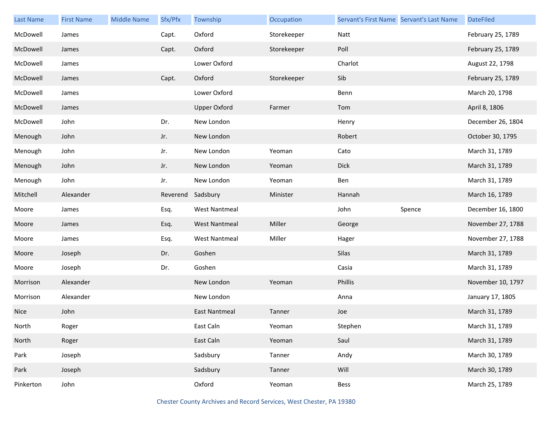| <b>Last Name</b> | <b>First Name</b> | <b>Middle Name</b> | Sfx/Pfx  | Township             | Occupation  | Servant's First Name Servant's Last Name |        | <b>DateFiled</b>  |
|------------------|-------------------|--------------------|----------|----------------------|-------------|------------------------------------------|--------|-------------------|
| McDowell         | James             |                    | Capt.    | Oxford               | Storekeeper | Natt                                     |        | February 25, 1789 |
| McDowell         | James             |                    | Capt.    | Oxford               | Storekeeper | Poll                                     |        | February 25, 1789 |
| McDowell         | James             |                    |          | Lower Oxford         |             | Charlot                                  |        | August 22, 1798   |
| McDowell         | James             |                    | Capt.    | Oxford               | Storekeeper | Sib                                      |        | February 25, 1789 |
| McDowell         | James             |                    |          | Lower Oxford         |             | Benn                                     |        | March 20, 1798    |
| McDowell         | James             |                    |          | <b>Upper Oxford</b>  | Farmer      | Tom                                      |        | April 8, 1806     |
| McDowell         | John              |                    | Dr.      | New London           |             | Henry                                    |        | December 26, 1804 |
| Menough          | John              |                    | Jr.      | New London           |             | Robert                                   |        | October 30, 1795  |
| Menough          | John              |                    | Jr.      | New London           | Yeoman      | Cato                                     |        | March 31, 1789    |
| Menough          | John              |                    | Jr.      | New London           | Yeoman      | Dick                                     |        | March 31, 1789    |
| Menough          | John              |                    | Jr.      | New London           | Yeoman      | Ben                                      |        | March 31, 1789    |
| Mitchell         | Alexander         |                    | Reverend | Sadsbury             | Minister    | Hannah                                   |        | March 16, 1789    |
| Moore            | James             |                    | Esq.     | <b>West Nantmeal</b> |             | John                                     | Spence | December 16, 1800 |
| Moore            | James             |                    | Esq.     | <b>West Nantmeal</b> | Miller      | George                                   |        | November 27, 1788 |
| Moore            | James             |                    | Esq.     | <b>West Nantmeal</b> | Miller      | Hager                                    |        | November 27, 1788 |
| Moore            | Joseph            |                    | Dr.      | Goshen               |             | Silas                                    |        | March 31, 1789    |
| Moore            | Joseph            |                    | Dr.      | Goshen               |             | Casia                                    |        | March 31, 1789    |
| Morrison         | Alexander         |                    |          | New London           | Yeoman      | Phillis                                  |        | November 10, 1797 |
| Morrison         | Alexander         |                    |          | New London           |             | Anna                                     |        | January 17, 1805  |
| <b>Nice</b>      | John              |                    |          | <b>East Nantmeal</b> | Tanner      | Joe                                      |        | March 31, 1789    |
| North            | Roger             |                    |          | East Caln            | Yeoman      | Stephen                                  |        | March 31, 1789    |
| North            | Roger             |                    |          | East Caln            | Yeoman      | Saul                                     |        | March 31, 1789    |
| Park             | Joseph            |                    |          | Sadsbury             | Tanner      | Andy                                     |        | March 30, 1789    |
| Park             | Joseph            |                    |          | Sadsbury             | Tanner      | Will                                     |        | March 30, 1789    |
| Pinkerton        | John              |                    |          | Oxford               | Yeoman      | Bess                                     |        | March 25, 1789    |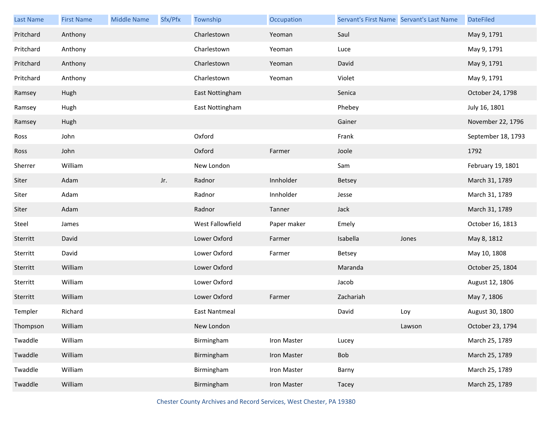| <b>Last Name</b> | <b>First Name</b> | <b>Middle Name</b> | Sfx/Pfx | Township             | Occupation  | Servant's First Name Servant's Last Name |        | <b>DateFiled</b>   |
|------------------|-------------------|--------------------|---------|----------------------|-------------|------------------------------------------|--------|--------------------|
| Pritchard        | Anthony           |                    |         | Charlestown          | Yeoman      | Saul                                     |        | May 9, 1791        |
| Pritchard        | Anthony           |                    |         | Charlestown          | Yeoman      | Luce                                     |        | May 9, 1791        |
| Pritchard        | Anthony           |                    |         | Charlestown          | Yeoman      | David                                    |        | May 9, 1791        |
| Pritchard        | Anthony           |                    |         | Charlestown          | Yeoman      | Violet                                   |        | May 9, 1791        |
| Ramsey           | Hugh              |                    |         | East Nottingham      |             | Senica                                   |        | October 24, 1798   |
| Ramsey           | Hugh              |                    |         | East Nottingham      |             | Phebey                                   |        | July 16, 1801      |
| Ramsey           | Hugh              |                    |         |                      |             | Gainer                                   |        | November 22, 1796  |
| Ross             | John              |                    |         | Oxford               |             | Frank                                    |        | September 18, 1793 |
| Ross             | John              |                    |         | Oxford               | Farmer      | Joole                                    |        | 1792               |
| Sherrer          | William           |                    |         | New London           |             | Sam                                      |        | February 19, 1801  |
| Siter            | Adam              |                    | Jr.     | Radnor               | Innholder   | Betsey                                   |        | March 31, 1789     |
| Siter            | Adam              |                    |         | Radnor               | Innholder   | Jesse                                    |        | March 31, 1789     |
| Siter            | Adam              |                    |         | Radnor               | Tanner      | Jack                                     |        | March 31, 1789     |
| Steel            | James             |                    |         | West Fallowfield     | Paper maker | Emely                                    |        | October 16, 1813   |
| Sterritt         | David             |                    |         | Lower Oxford         | Farmer      | Isabella                                 | Jones  | May 8, 1812        |
| Sterritt         | David             |                    |         | Lower Oxford         | Farmer      | Betsey                                   |        | May 10, 1808       |
| Sterritt         | William           |                    |         | Lower Oxford         |             | Maranda                                  |        | October 25, 1804   |
| Sterritt         | William           |                    |         | Lower Oxford         |             | Jacob                                    |        | August 12, 1806    |
| Sterritt         | William           |                    |         | Lower Oxford         | Farmer      | Zachariah                                |        | May 7, 1806        |
| Templer          | Richard           |                    |         | <b>East Nantmeal</b> |             | David                                    | Loy    | August 30, 1800    |
| Thompson         | William           |                    |         | New London           |             |                                          | Lawson | October 23, 1794   |
| Twaddle          | William           |                    |         | Birmingham           | Iron Master | Lucey                                    |        | March 25, 1789     |
| Twaddle          | William           |                    |         | Birmingham           | Iron Master | Bob                                      |        | March 25, 1789     |
| Twaddle          | William           |                    |         | Birmingham           | Iron Master | Barny                                    |        | March 25, 1789     |
| Twaddle          | William           |                    |         | Birmingham           | Iron Master | Tacey                                    |        | March 25, 1789     |